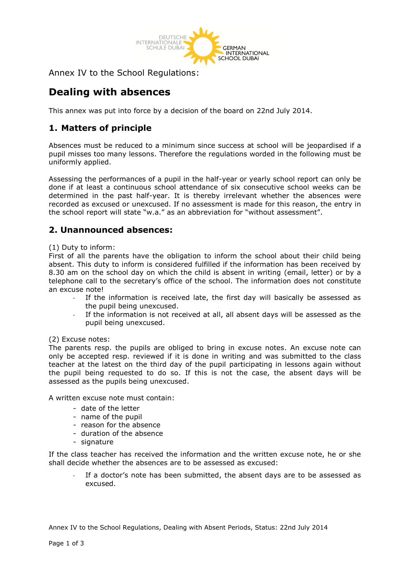

Annex IV to the School Regulations:

# **Dealing with absences**

This annex was put into force by a decision of the board on 22nd July 2014.

# **1. Matters of principle**

Absences must be reduced to a minimum since success at school will be jeopardised if a pupil misses too many lessons. Therefore the regulations worded in the following must be uniformly applied.

Assessing the performances of a pupil in the half-year or yearly school report can only be done if at least a continuous school attendance of six consecutive school weeks can be determined in the past half-year. It is thereby irrelevant whether the absences were recorded as excused or unexcused. If no assessment is made for this reason, the entry in the school report will state "w.a." as an abbreviation for "without assessment".

## **2. Unannounced absences:**

#### (1) Duty to inform:

First of all the parents have the obligation to inform the school about their child being absent. This duty to inform is considered fulfilled if the information has been received by 8.30 am on the school day on which the child is absent in writing (email, letter) or by a telephone call to the secretary's office of the school. The information does not constitute an excuse note!

- If the information is received late, the first day will basically be assessed as the pupil being unexcused.
- If the information is not received at all, all absent days will be assessed as the pupil being unexcused.

#### (2) Excuse notes:

The parents resp. the pupils are obliged to bring in excuse notes. An excuse note can only be accepted resp. reviewed if it is done in writing and was submitted to the class teacher at the latest on the third day of the pupil participating in lessons again without the pupil being requested to do so. If this is not the case, the absent days will be assessed as the pupils being unexcused.

A written excuse note must contain:

- date of the letter
- name of the pupil
- reason for the absence
- duration of the absence
- signature

If the class teacher has received the information and the written excuse note, he or she shall decide whether the absences are to be assessed as excused:

If a doctor's note has been submitted, the absent days are to be assessed as excused.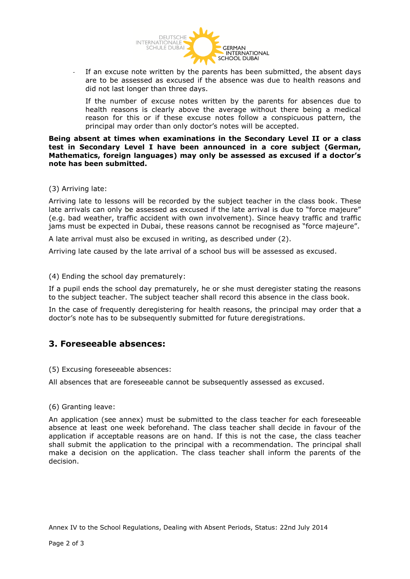

If an excuse note written by the parents has been submitted, the absent days are to be assessed as excused if the absence was due to health reasons and did not last longer than three days.

If the number of excuse notes written by the parents for absences due to health reasons is clearly above the average without there being a medical reason for this or if these excuse notes follow a conspicuous pattern, the principal may order than only doctor's notes will be accepted.

**Being absent at times when examinations in the Secondary Level II or a class test in Secondary Level I have been announced in a core subject (German, Mathematics, foreign languages) may only be assessed as excused if a doctor's note has been submitted.** 

#### (3) Arriving late:

Arriving late to lessons will be recorded by the subject teacher in the class book. These late arrivals can only be assessed as excused if the late arrival is due to "force majeure" (e.g. bad weather, traffic accident with own involvement). Since heavy traffic and traffic jams must be expected in Dubai, these reasons cannot be recognised as "force majeure".

A late arrival must also be excused in writing, as described under (2).

Arriving late caused by the late arrival of a school bus will be assessed as excused.

(4) Ending the school day prematurely:

If a pupil ends the school day prematurely, he or she must deregister stating the reasons to the subject teacher. The subject teacher shall record this absence in the class book.

In the case of frequently deregistering for health reasons, the principal may order that a doctor's note has to be subsequently submitted for future deregistrations.

### **3. Foreseeable absences:**

(5) Excusing foreseeable absences:

All absences that are foreseeable cannot be subsequently assessed as excused.

#### (6) Granting leave:

An application (see annex) must be submitted to the class teacher for each foreseeable absence at least one week beforehand. The class teacher shall decide in favour of the application if acceptable reasons are on hand. If this is not the case, the class teacher shall submit the application to the principal with a recommendation. The principal shall make a decision on the application. The class teacher shall inform the parents of the decision.